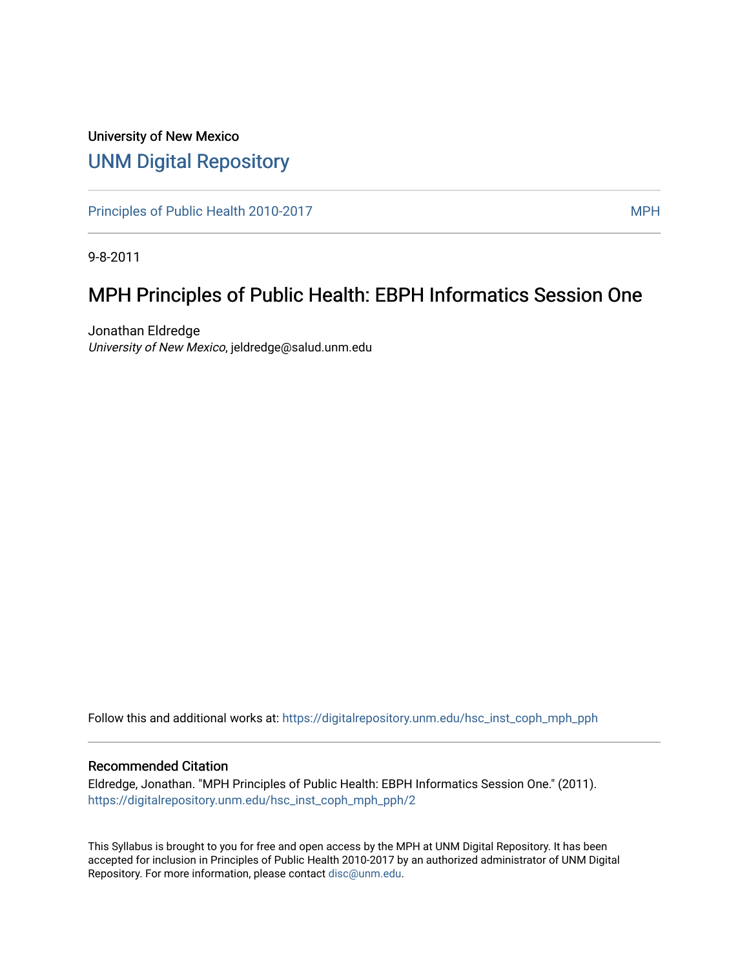## University of New Mexico [UNM Digital Repository](https://digitalrepository.unm.edu/)

[Principles of Public Health 2010-2017](https://digitalrepository.unm.edu/hsc_inst_coph_mph_pph) MPH

9-8-2011

# MPH Principles of Public Health: EBPH Informatics Session One

Jonathan Eldredge University of New Mexico, jeldredge@salud.unm.edu

Follow this and additional works at: [https://digitalrepository.unm.edu/hsc\\_inst\\_coph\\_mph\\_pph](https://digitalrepository.unm.edu/hsc_inst_coph_mph_pph?utm_source=digitalrepository.unm.edu%2Fhsc_inst_coph_mph_pph%2F2&utm_medium=PDF&utm_campaign=PDFCoverPages)

#### Recommended Citation

Eldredge, Jonathan. "MPH Principles of Public Health: EBPH Informatics Session One." (2011). [https://digitalrepository.unm.edu/hsc\\_inst\\_coph\\_mph\\_pph/2](https://digitalrepository.unm.edu/hsc_inst_coph_mph_pph/2?utm_source=digitalrepository.unm.edu%2Fhsc_inst_coph_mph_pph%2F2&utm_medium=PDF&utm_campaign=PDFCoverPages) 

This Syllabus is brought to you for free and open access by the MPH at UNM Digital Repository. It has been accepted for inclusion in Principles of Public Health 2010-2017 by an authorized administrator of UNM Digital Repository. For more information, please contact [disc@unm.edu](mailto:disc@unm.edu).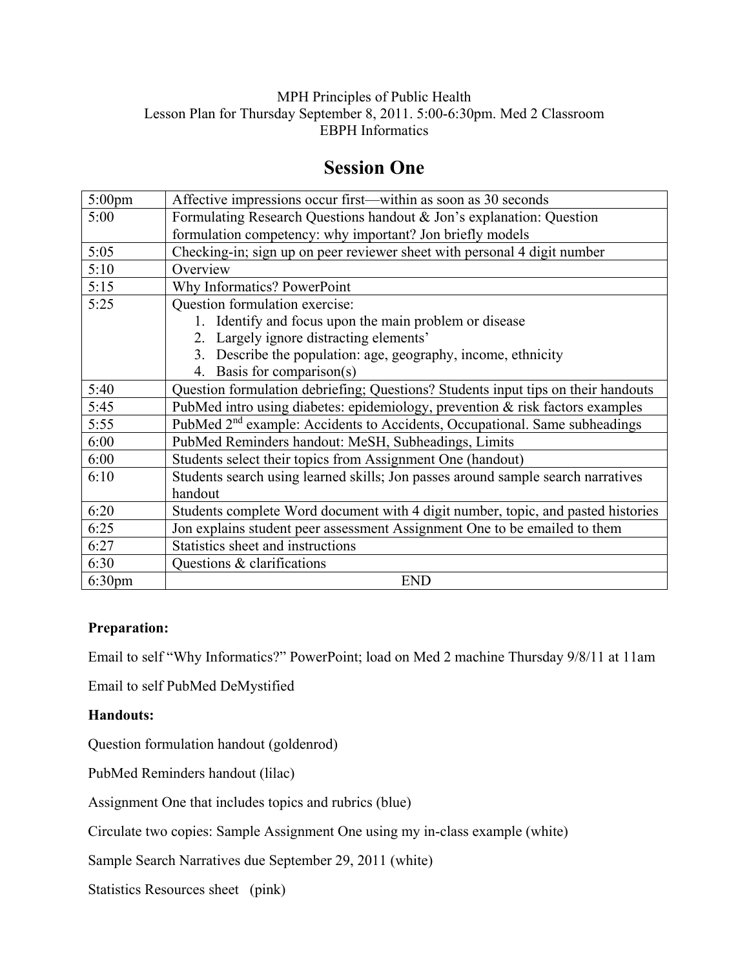### MPH Principles of Public Health Lesson Plan for Thursday September 8, 2011. 5:00-6:30pm. Med 2 Classroom EBPH Informatics

### **Session One**

| $5:00$ pm          | Affective impressions occur first—within as soon as 30 seconds                         |
|--------------------|----------------------------------------------------------------------------------------|
| 5:00               | Formulating Research Questions handout & Jon's explanation: Question                   |
|                    | formulation competency: why important? Jon briefly models                              |
| 5:05               | Checking-in; sign up on peer reviewer sheet with personal 4 digit number               |
| 5:10               | Overview                                                                               |
| 5:15               | Why Informatics? PowerPoint                                                            |
| 5:25               | Question formulation exercise:                                                         |
|                    | 1. Identify and focus upon the main problem or disease                                 |
|                    | 2. Largely ignore distracting elements'                                                |
|                    | 3. Describe the population: age, geography, income, ethnicity                          |
|                    | 4. Basis for comparison(s)                                                             |
| 5:40               | Question formulation debriefing; Questions? Students input tips on their handouts      |
| 5:45               | PubMed intro using diabetes: epidemiology, prevention & risk factors examples          |
| 5:55               | PubMed 2 <sup>nd</sup> example: Accidents to Accidents, Occupational. Same subheadings |
| 6:00               | PubMed Reminders handout: MeSH, Subheadings, Limits                                    |
| 6:00               | Students select their topics from Assignment One (handout)                             |
| 6:10               | Students search using learned skills; Jon passes around sample search narratives       |
|                    | handout                                                                                |
| 6:20               | Students complete Word document with 4 digit number, topic, and pasted histories       |
| 6:25               | Jon explains student peer assessment Assignment One to be emailed to them              |
| 6:27               | Statistics sheet and instructions                                                      |
| 6:30               | Questions & clarifications                                                             |
| 6:30 <sub>pm</sub> | <b>END</b>                                                                             |

### **Preparation:**

Email to self "Why Informatics?" PowerPoint; load on Med 2 machine Thursday 9/8/11 at 11am

Email to self PubMed DeMystified

### **Handouts:**

Question formulation handout (goldenrod)

PubMed Reminders handout (lilac)

Assignment One that includes topics and rubrics (blue)

Circulate two copies: Sample Assignment One using my in-class example (white)

Sample Search Narratives due September 29, 2011 (white)

Statistics Resources sheet (pink)